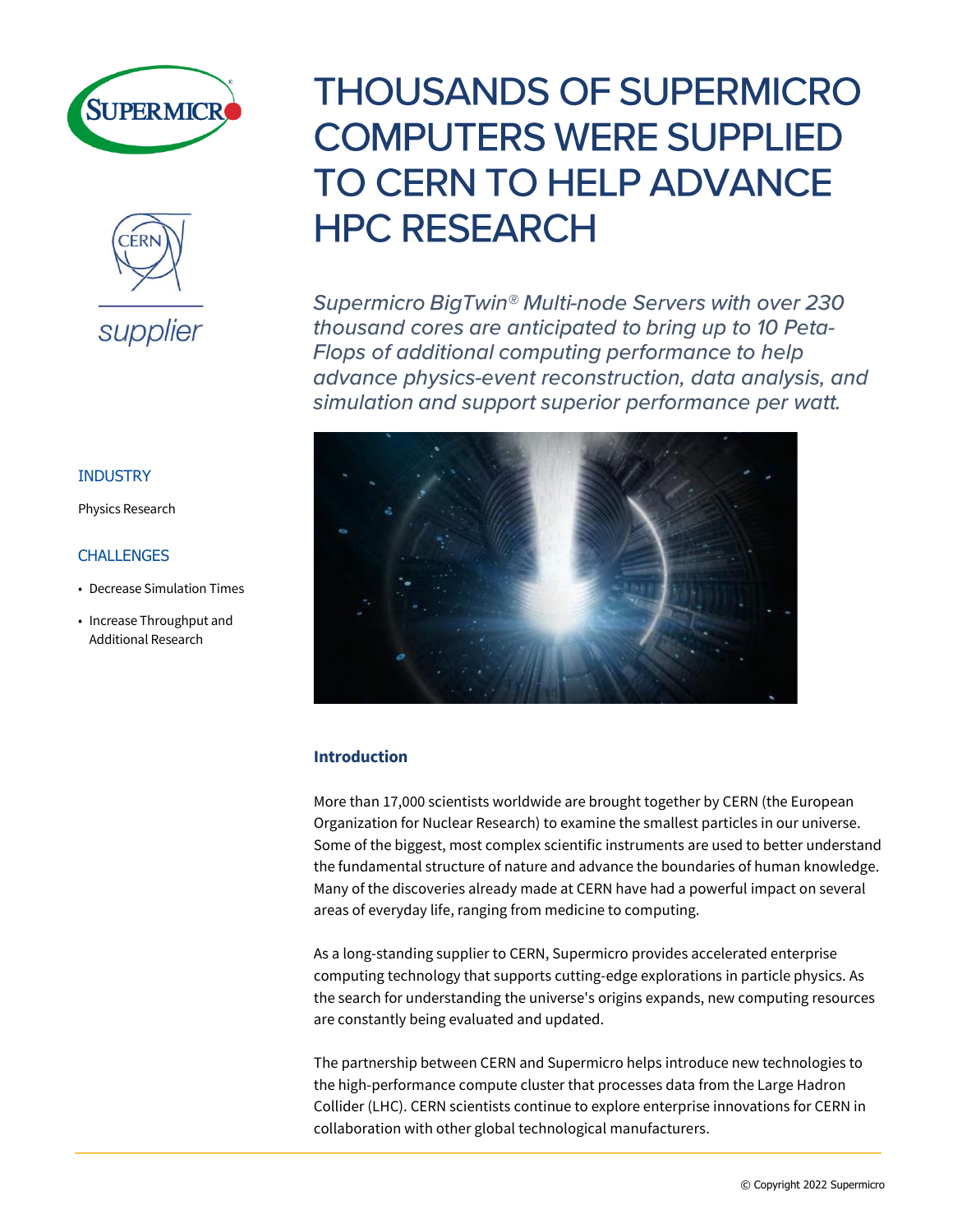



## INDUSTRY

Physics Research

## **CHALLENGES**

- Decrease Simulation Times
- Increase Throughput and Additional Research

# **THOUSANDS OF SUPERMICRO COMPUTERS WERE SUPPLIED TO CERN TO HELP ADVANCE HPC RESEARCH**

Supermicro BigTwin<sup>®</sup> Multi-node Servers with over 230 thousand cores are anticipated to bring up to 10 Peta-Flops of additional computing performance to help advance physics-event reconstruction, data analysis, and simulation and support superior performance per watt.



# **Introduction**

More than 17,000 scientists worldwide are brought together by CERN (the European Organization for Nuclear Research) to examine the smallest particles in our universe. Some of the biggest, most complex scientific instruments are used to better understand the fundamental structure of nature and advance the boundaries of human knowledge. Many of the discoveries already made at CERN have had a powerful impact on several areas of everyday life, ranging from medicine to computing.

As a long-standing supplier to CERN, Supermicro provides accelerated enterprise computing technology that supports cutting-edge explorations in particle physics. As the search for understanding the universe's origins expands, new computing resources are constantly being evaluated and updated.

The partnership between CERN and Supermicro helps introduce new technologies to the high-performance compute cluster that processes data from the Large Hadron Collider (LHC). CERN scientists continue to explore enterprise innovations for CERN in collaboration with other global technological manufacturers.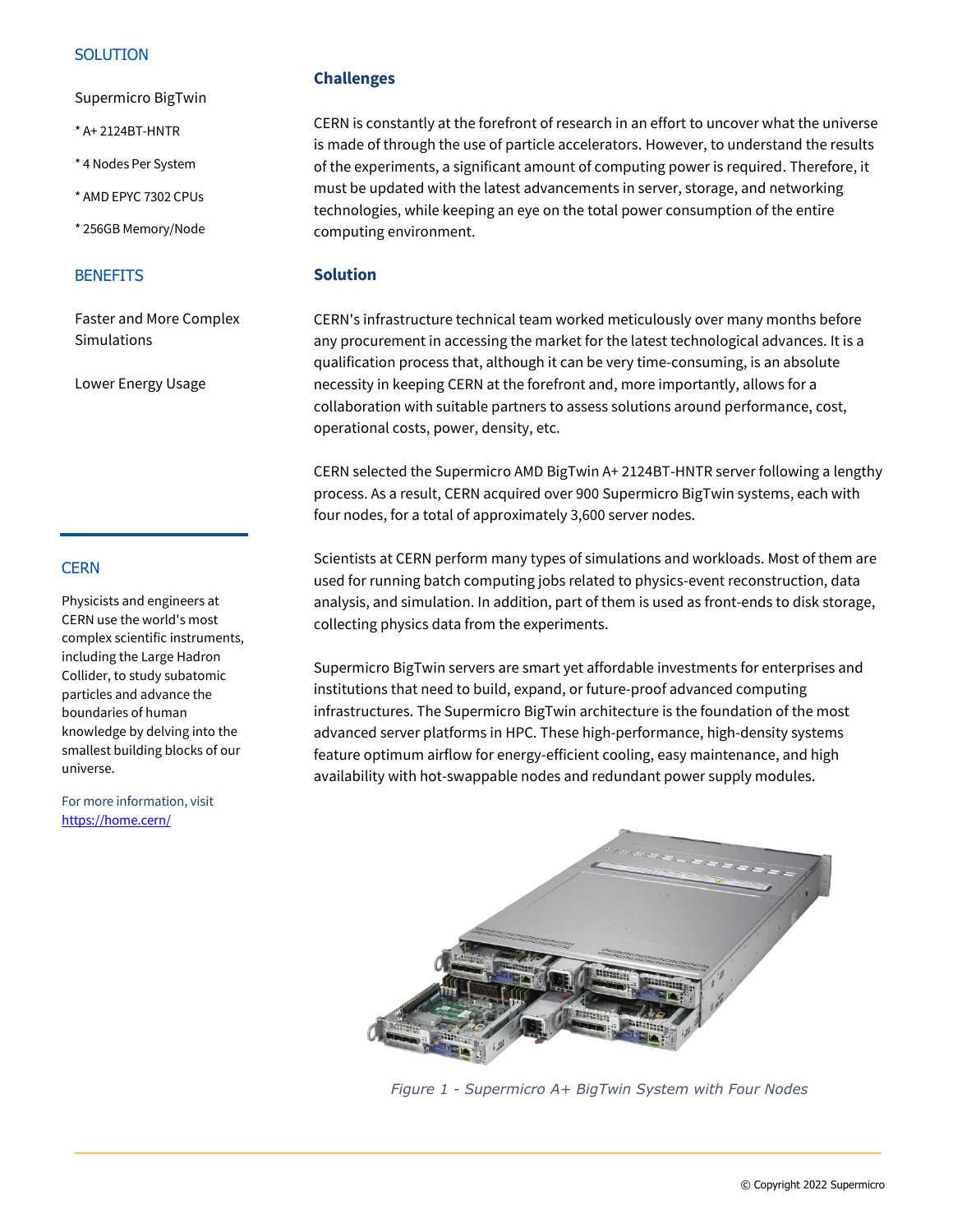## **SOLUTION**

Supermicro BigTwin

- \* A+ 2124BT-HNTR
- \* 4 Nodes Per System
- \* AMD EPYC 7302 CPUs
- \* 256GB Memory/Node

#### **BENEFITS**

Faster and More Complex **Simulations** 

Lower Energy Usage

# **CERN**

Physicists and engineers at CERN use the world's most complex scientific instruments, including the Large Hadron Collider, to study subatomic particles and advance the boundaries of human knowledge by delving into the smallest building blocks of our universe.

For more information, visit <https://home.cern/>

## **Challenges**

CERN is constantly at the forefront of research in an effort to uncover what the universe is made of through the use of particle accelerators. However, to understand the results of the experiments, a significant amount of computing power is required. Therefore, it must be updated with the latest advancements in server, storage, and networking technologies, while keeping an eye on the total power consumption of the entire computing environment.

## **Solution**

CERN's infrastructure technical team worked meticulously over many months before any procurement in accessing the market for the latest technological advances. It is a qualification process that, although it can be very time-consuming, is an absolute necessity in keeping CERN at the forefront and, more importantly, allows for a collaboration with suitable partners to assess solutions around performance, cost, operational costs, power, density, etc.

CERN selected the Supermicro AMD BigTwin A+ 2124BT-HNTR server following a lengthy process. As a result, CERN acquired over 900 Supermicro BigTwin systems, each with four nodes, for a total of approximately 3,600 server nodes.

Scientists at CERN perform many types of simulations and workloads. Most of them are used for running batch computing jobs related to physics-event reconstruction, data analysis, and simulation. In addition, part of them is used as front-ends to disk storage, collecting physics data from the experiments.

Supermicro BigTwin servers are smart yet affordable investments for enterprises and institutions that need to build, expand, or future-proof advanced computing infrastructures. The Supermicro BigTwin architecture is the foundation of the most advanced server platforms in HPC. These high-performance, high-density systems feature optimum airflow for energy-efficient cooling, easy maintenance, and high availability with hot-swappable nodes and redundant power supply modules.



*Figure 1 - Supermicro A+ BigTwin System with Four Nodes*